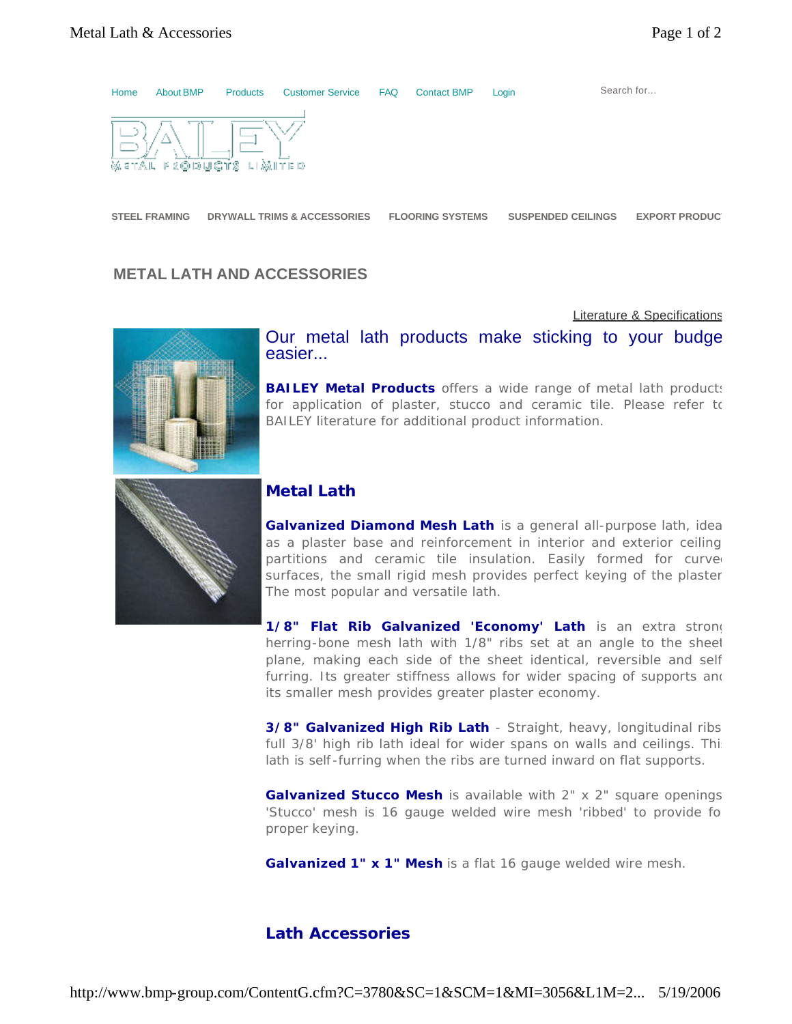

## **METAL LATH AND ACCESSORIES**

Literature & Specifications



Our metal lath products make sticking to your budge easier...

**BAILEY Metal Products** offers a wide range of metal lath products for application of plaster, stucco and ceramic tile. Please refer to BAILEY literature for additional product information.



## **Metal Lath**

Galvanized Diamond Mesh Lath is a general all-purpose lath, ideal as a plaster base and reinforcement in interior and exterior ceiling, partitions and ceramic tile insulation. Easily formed for curve surfaces, the small rigid mesh provides perfect keying of the plaster. The most popular and versatile lath.

1/8" Flat Rib Galvanized 'Economy' Lath is an extra strong herring-bone mesh lath with 1/8" ribs set at an angle to the sheet plane, making each side of the sheet identical, reversible and self furring. Its greater stiffness allows for wider spacing of supports and its smaller mesh provides greater plaster economy.

**3/8" Galvanized High Rib Lath** - Straight, heavy, longitudinal ribs full 3/8' high rib lath ideal for wider spans on walls and ceilings. This lath is self -furring when the ribs are turned inward on flat supports.

**Galvanized Stucco Mesh** is available with 2" x 2" square openings. 'Stucco' mesh is 16 gauge welded wire mesh 'ribbed' to provide for proper keying.

**Galvanized 1" x 1" Mesh** is a flat 16 gauge welded wire mesh.

## **Lath Accessories**